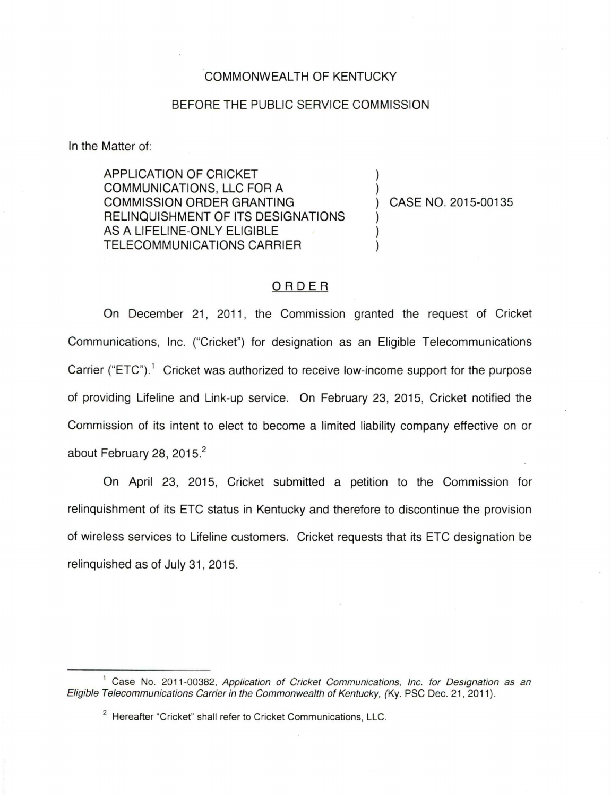## COMMONWEALTH OF KENTUCKY

## BEFORE THE PUBLIC SERVICE COMMISSION

In the Matter of:

APPLICATION OF CRICKET COMMUNICATIONS, LLC FOR A COMMISSION ORDER GRANTING RELINQUISHMENT OF ITS DESIGNATIONS AS A LIFELINE-ONLY ELIGIBLE TELECOMMUNICATIONS CARRIER

CASE NO. 2015-00135

## ORDER

On December 21, 2011, the Commission granted the request of Cricket Communications, Inc. ("Cricket") for designation as an Eligible Telecommunications Carrier ("ETC").<sup>1</sup> Cricket was authorized to receive low-income support for the purpose of providing Lifeline and Link-up service. On February 23, 2015, Cricket notified the Commission of its intent to elect to become a limited liability company effective on or about February 28, 2015.<sup>2</sup>

On April 23, 2015, Cricket submitted a petition to the Commission for relinquishment of its ETC status in Kentucky and therefore to discontinue the provision of wireless services to Lifeline customers. Cricket requests that its ETC designation be relinquished as of July 31, 2015.

<sup>&</sup>lt;sup>1</sup> Case No. 2011-00382, Application of Cricket Communications, Inc. for Designation as an Eligible Telecommunications Carrier in the Commonwealth of Kentucky, (Ky. PSC Dec. 21, 2011).

<sup>&</sup>lt;sup>2</sup> Hereafter "Cricket" shall refer to Cricket Communications, LLC.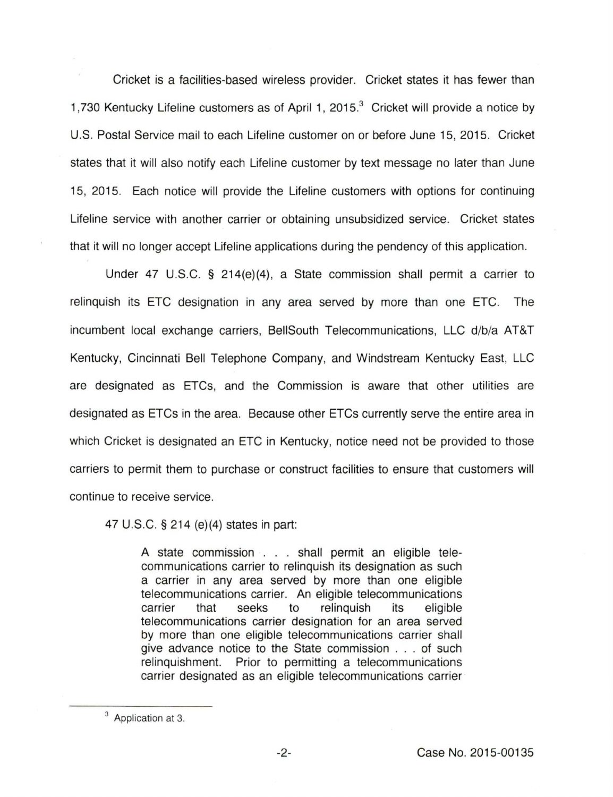Cricket is a facilities-based wireless provider. Cricket states it has fewer than 1,730 Kentucky Lifeline customers as of April 1, 2015.<sup>3</sup> Cricket will provide a notice by U.S. Postal Service mail to each Lifeline customer on or before June 15, 2015. Cricket states that it will also notify each Lifeline customer by text message no later than June 15, 2015. Each notice will provide the Lifeline customers with options for continuing Lifeline service with another carrier or obtaining unsubsidized service. Cricket states that it will no longer accept Lifeline applications during the pendency of this application.

Under 47 U.S.C. § 214(e)(4), a State commission shall permit a carrier to relinquish its ETC designation in any area served by more than one ETC. The incumbent local exchange carriers, BellSouth Telecommunications, LLC d/b/a AT&T Kentucky, Cincinnati Bell Telephone Company, and Windstream Kentucky East, LLC are designated as ETCs, and the Commission is aware that other utilities are designated as ETCs in the area. Because other ETCs currently serve the entire area in which Cricket is designated an ETC in Kentucky, notice need not be provided to those carriers to permit them to purchase or construct facilities to ensure that customers will continue to receive service.

47 U.S.C. § 214 (e)(4) states in part:

A state commission . . . shall permit an eligible telecommunications carrier to relinquish its designation as such a carrier in any area served by more than one eligible telecommunications carrier. An eligible telecommunications carrier that seeks to relinquish its eligible telecommunications carrier designation for an area served by more than one eligible telecommunications carrier shall give advance notice to the State commission . . . of such relinquishment. Prior to permitting a telecommunications carrier designated as an eligible telecommunications carrier

<sup>&</sup>lt;sup>3</sup> Application at 3.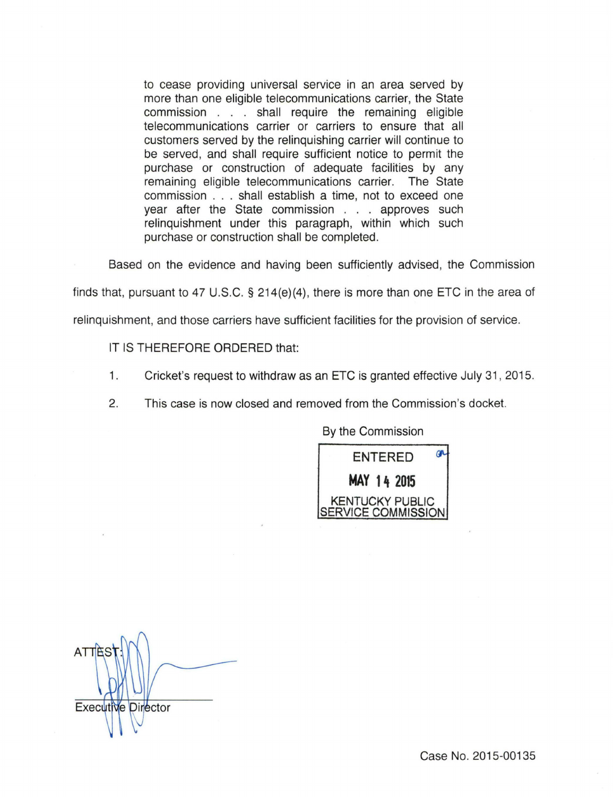to cease providing universal service in an area served by more than one eligible telecommunications carrier, the State commission . . . shall require the remaining eligible telecommunications carrier or carriers to ensure that all customers served by the relinquishing carrier will continue to be served, and shall require sufficient notice to permit the purchase or construction of adequate facilities by any remaining eligible telecommunications carrier. The State commission ... shall establish a time, not to exceed one year after the State commission . . . approves such relinquishment under this paragraph, within which such purchase or construction shall be completed.

Based on the evidence and having been sufficiently advised, the Commission

finds that, pursuant to 47 U.S.C. § 214(e){4), there is more than one ETC in the area of

relinquishment, and those carriers have sufficient facilities for the provision of service.

IT IS THEREFORE ORDERED that:

- 1. Cricket's request to withdraw as an ETC is granted effective July 31 , 2015.
- 2. This case is now closed and removed from the Commission's docket.

By the Commission



ATTE: Executive Director